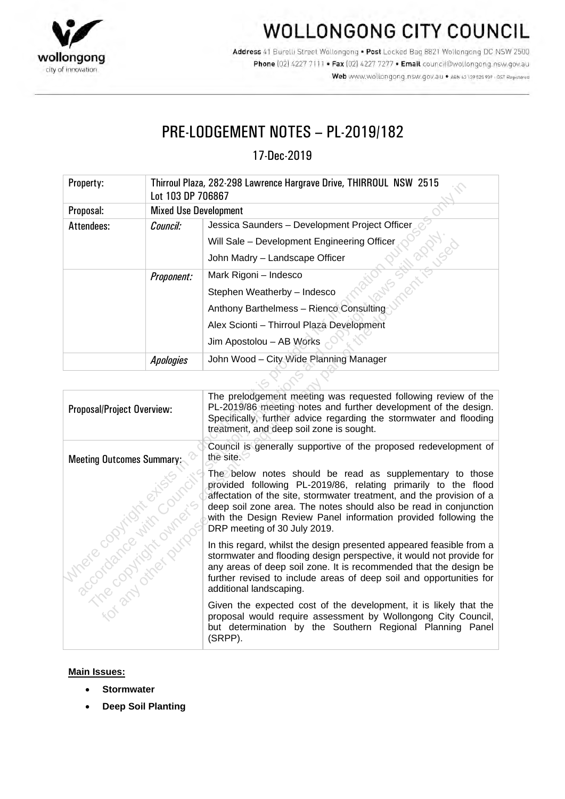

## **WOLLONGONG CITY COUNCIL**

Address 41 Burelli Street Wollongong . Post Locked Bag 8821 Wollongong DC NSW 2500 Phone [02] 4227 7111 . Fax [02] 4227 7277 . Email council@wollongong.nsw.gov.au Web www.wollongong.nsw.gov.au • ABN 63139 525 939 - GST Registered

### PRE-LODGEMENT NOTES – PL-2019/182

17-Dec-2019

| Property:  | Thirroul Plaza, 282-298 Lawrence Hargrave Drive, THIRROUL NSW 2515<br>Lot 103 DP 706867 |                                                |
|------------|-----------------------------------------------------------------------------------------|------------------------------------------------|
| Proposal:  | <b>Mixed Use Development</b>                                                            |                                                |
| Attendees: | Council:                                                                                | Jessica Saunders - Development Project Officer |
|            |                                                                                         | Will Sale - Development Engineering Officer    |
|            |                                                                                         | John Madry - Landscape Officer                 |
|            | Proponent:                                                                              | Mark Rigoni - Indesco                          |
|            |                                                                                         | Stephen Weatherby - Indesco                    |
|            |                                                                                         | Anthony Barthelmess - Rienco Consulting        |
|            |                                                                                         | Alex Scionti - Thirroul Plaza Development      |
|            |                                                                                         | Jim Apostolou - AB Works                       |
|            | <b>Apologies</b>                                                                        | John Wood - City Wide Planning Manager         |

| riupeity.                                                                                                                                    | THIITUUI FIAZA, ZOZ-ZYO LAWTUICU HATYITAVU DITVU, THINNOOL TIOW - ZOTO<br>Lot 103 DP 706867 |                                                                                                                                                                                                                                                                                                                                                                             |  |
|----------------------------------------------------------------------------------------------------------------------------------------------|---------------------------------------------------------------------------------------------|-----------------------------------------------------------------------------------------------------------------------------------------------------------------------------------------------------------------------------------------------------------------------------------------------------------------------------------------------------------------------------|--|
| Proposal:                                                                                                                                    | <b>Mixed Use Development</b>                                                                |                                                                                                                                                                                                                                                                                                                                                                             |  |
| Attendees:                                                                                                                                   | Council:                                                                                    | Jessica Saunders - Development Project Officer                                                                                                                                                                                                                                                                                                                              |  |
|                                                                                                                                              |                                                                                             | Will Sale - Development Engineering Officer                                                                                                                                                                                                                                                                                                                                 |  |
|                                                                                                                                              |                                                                                             | is still appli<br>nentis vsed<br>John Madry - Landscape Officer                                                                                                                                                                                                                                                                                                             |  |
|                                                                                                                                              | Proponent:                                                                                  | Mark Rigoni - Indesco                                                                                                                                                                                                                                                                                                                                                       |  |
|                                                                                                                                              |                                                                                             | Stephen Weatherby - Indesco                                                                                                                                                                                                                                                                                                                                                 |  |
|                                                                                                                                              |                                                                                             | Anthony Barthelmess - Rienco Consulting                                                                                                                                                                                                                                                                                                                                     |  |
|                                                                                                                                              |                                                                                             | Alex Scionti - Thirroul Plaza Development                                                                                                                                                                                                                                                                                                                                   |  |
|                                                                                                                                              |                                                                                             | Jim Apostolou - AB Works                                                                                                                                                                                                                                                                                                                                                    |  |
|                                                                                                                                              | <b>Apologies</b>                                                                            | John Wood - City Wide Planning Manager                                                                                                                                                                                                                                                                                                                                      |  |
|                                                                                                                                              |                                                                                             |                                                                                                                                                                                                                                                                                                                                                                             |  |
| Proposal/Project Overview:                                                                                                                   |                                                                                             | The prelodgement meeting was requested following review of the<br>PL-2019/86 meeting notes and further development of the design.<br>Specifically, further advice regarding the stormwater and flooding<br>treatment, and deep soil zone is sought.                                                                                                                         |  |
| Meeting Outcomes Summary:<br>A Treat damage of the Council<br>Intrare copyright entity<br>- Tre copyright outputs<br>FOT PAY OFFICER OFFICER |                                                                                             | Council is generally supportive of the proposed redevelopment of<br>the site.                                                                                                                                                                                                                                                                                               |  |
|                                                                                                                                              |                                                                                             | The below notes should be read as supplementary to those<br>provided following PL-2019/86, relating primarily to the flood<br>affectation of the site, stormwater treatment, and the provision of a<br>deep soil zone area. The notes should also be read in conjunction<br>with the Design Review Panel information provided following the<br>DRP meeting of 30 July 2019. |  |
|                                                                                                                                              |                                                                                             | In this regard, whilst the design presented appeared feasible from a<br>stormwater and flooding design perspective, it would not provide for<br>any areas of deep soil zone. It is recommended that the design be<br>further revised to include areas of deep soil and opportunities for<br>additional landscaping.                                                         |  |
|                                                                                                                                              |                                                                                             | Given the expected cost of the development, it is likely that the<br>proposal would require assessment by Wollongong City Council,<br>but determination by the Southern Regional Planning Panel<br>(SRPP).                                                                                                                                                                  |  |

#### **Main Issues:**

- **Stormwater**
- **Deep Soil Planting**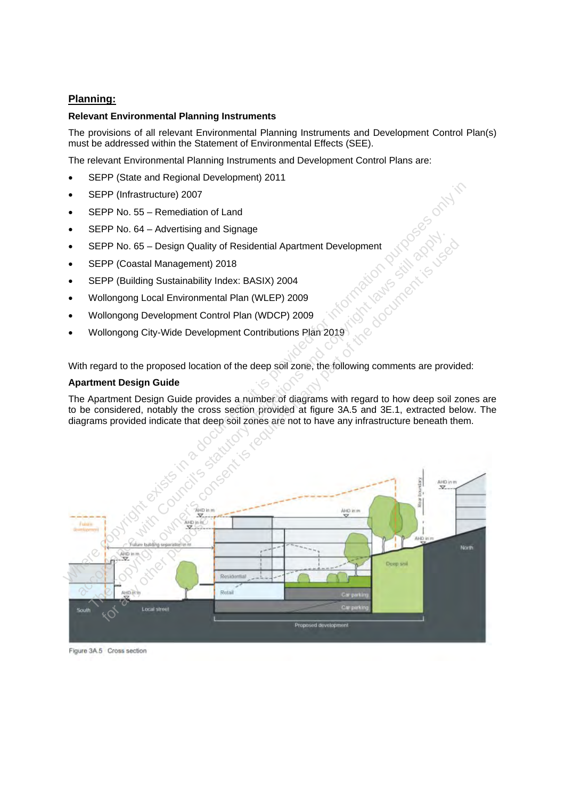#### **Planning:**

#### **Relevant Environmental Planning Instruments**

The provisions of all relevant Environmental Planning Instruments and Development Control Plan(s) must be addressed within the Statement of Environmental Effects (SEE).

The relevant Environmental Planning Instruments and Development Control Plans are:

- SEPP (State and Regional Development) 2011
- SEPP (Infrastructure) 2007
- SEPP No. 55 Remediation of Land
- SEPP No. 64 Advertising and Signage
- SEPP No. 65 Design Quality of Residential Apartment Development
- SEPP (Coastal Management) 2018
- SEPP (Building Sustainability Index: BASIX) 2004
- Wollongong Local Environmental Plan (WLEP) 2009
- Wollongong Development Control Plan (WDCP) 2009
- Wollongong City-Wide Development Contributions Plan 2019

With regard to the proposed location of the deep soil zone, the following comments are provided:

#### **Apartment Design Guide**

The Apartment Design Guide provides a number of diagrams with regard to how deep soil zones are to be considered, notably the cross section provided at figure 3A.5 and 3E.1, extracted below. The diagrams provided indicate that deep soil zones are not to have any infrastructure beneath them.



Figure 3A.5 Cross section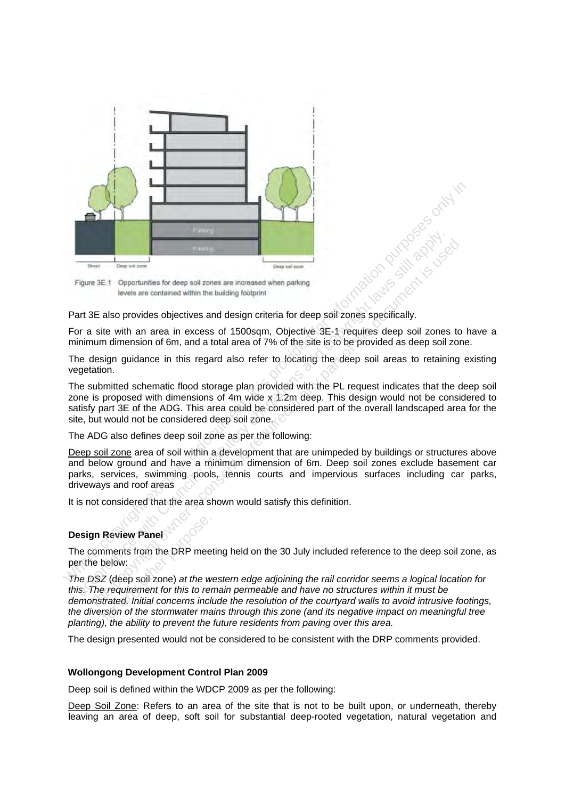

Part 3E also provides objectives and design criteria for deep soil zones specifically.

For a site with an area in excess of 1500sqm, Objective 3E-1 requires deep soil zones to have a minimum dimension of 6m, and a total area of 7% of the site is to be provided as deep soil zone.

The design guidance in this regard also refer to locating the deep soil areas to retaining existing vegetation.

The submitted schematic flood storage plan provided with the PL request indicates that the deep soil zone is proposed with dimensions of 4m wide x 1.2m deep. This design would not be considered to satisfy part 3E of the ADG. This area could be considered part of the overall landscaped area for the site, but would not be considered deep soil zone.

The ADG also defines deep soil zone as per the following:

Deep soil zone area of soil within a development that are unimpeded by buildings or structures above and below ground and have a minimum dimension of 6m. Deep soil zones exclude basement car parks, services, swimming pools, tennis courts and impervious surfaces including car parks, driveways and roof areas **Example 18 and Constrainers**<br>
Figure 3E.1 Opportunities for deep soll zones are increased when parking<br>
The with an area in excess of 1500sqm, Objective's 3E-1 requires deep soli zones<br>
are with an area in excess of 1500s The pontunities for deep sol zones are increased when parking<br>and the consention of the consention of the documentation of the documentation<br>at a site with an area in excess of 1500sqm, Objective 3E-1 requires deep soil zo

It is not considered that the area shown would satisfy this definition.

#### **Design Review Panel**

The comments from the DRP meeting held on the 30 July included reference to the deep soil zone, as per the below:

*The DSZ* (deep soil zone) *at the western edge adjoining the rail corridor seems a logical location for this. The requirement for this to remain permeable and have no structures within it must be demonstrated. Initial concerns include the resolution of the courtyard walls to avoid intrusive footings, the diversion of the stormwater mains through this zone (and its negative impact on meaningful tree planting), the ability to prevent the future residents from paving over this area.* **Review Panel<br>
Inments from the DRP mee<br>
below:**<br> *Z* (deep soil zone) at the w<br> *e requirement for this to restrated. Initial concerns incl<br>
<i>is the ability to provent the* 

The design presented would not be considered to be consistent with the DRP comments provided.

#### **Wollongong Development Control Plan 2009**

Deep soil is defined within the WDCP 2009 as per the following:

Deep Soil Zone: Refers to an area of the site that is not to be built upon, or underneath, thereby leaving an area of deep, soft soil for substantial deep-rooted vegetation, natural vegetation and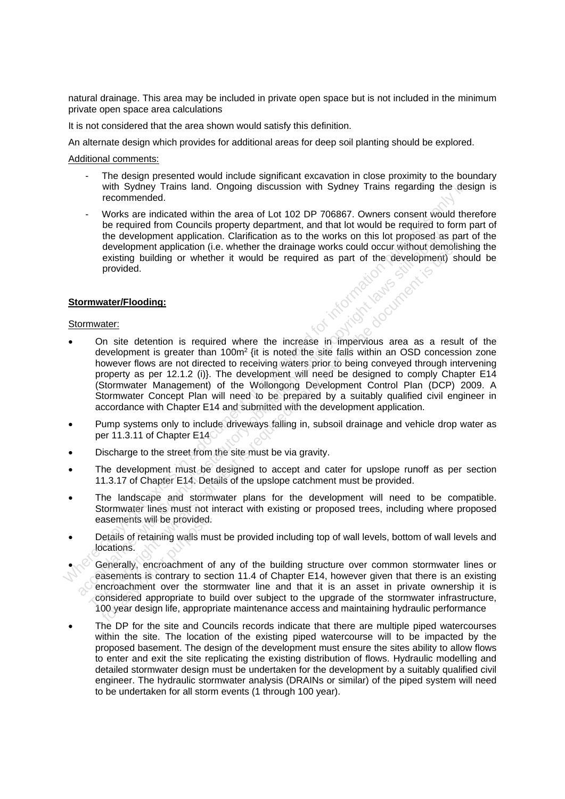natural drainage. This area may be included in private open space but is not included in the minimum private open space area calculations

It is not considered that the area shown would satisfy this definition.

An alternate design which provides for additional areas for deep soil planting should be explored.

Additional comments:

- The design presented would include significant excavation in close proximity to the boundary with Sydney Trains land. Ongoing discussion with Sydney Trains regarding the design is recommended.
- Works are indicated within the area of Lot 102 DP 706867. Owners consent would therefore be required from Councils property department, and that lot would be required to form part of the development application. Clarification as to the works on this lot proposed as part of the development application (i.e. whether the drainage works could occur without demolishing the existing building or whether it would be required as part of the development) should be provided.

#### **Stormwater/Flooding:**

#### Stormwater:

- water/Flooding:<br>
water:<br>
On site detention is required where the increase in impervious area as a result of the development is greater than 100m<sup>2</sup> {it is noted the site falls within an OSD concession zone however flows are not directed to receiving waters prior to being conveyed through intervening property as per 12.1.2 (i)}. The development will need be designed to comply Chapter E14 (Stormwater Management) of the Wollongong Development Control Plan (DCP) 2009. A Stormwater Concept Plan will need to be prepared by a suitably qualified civil engineer in accordance with Chapter E14 and submitted with the development application. with Sydney Trains land. Ongoing discussion with Sydney Trains regarding the des<br>
wecommended.<br>
Works are indicated within the area of Lot 102 DP 706867. Owners consent would the<br>
be required from Councils property departm the development application. Clarification as to the works on this lot proposed as<br>development application (i.e. whether the drainage works could occur without dem<br>existing building or whether it would be required as part The development must be designed to accept and caler for used occurre without demotist<br>or divelopment application (i.e. whether the drainage works could occur without demotist<br>existing building or whether it would be requi
	- Pump systems only to include driveways falling in, subsoil drainage and vehicle drop water as per 11.3.11 of Chapter E14
- Discharge to the street from the site must be via gravity.
- The development must be designed to accept and cater for upslope runoff as per section 11.3.17 of Chapter E14. Details of the upslope catchment must be provided.
- The landscape and stormwater plans for the development will need to be compatible. Stormwater lines must not interact with existing or proposed trees, including where proposed easements will be provided.
- Details of retaining walls must be provided including top of wall levels, bottom of wall levels and locations.
- Generally, encroachment of any of the building structure over common stormwater lines or easements is contrary to section 11.4 of Chapter E14, however given that there is an existing encroachment over the stormwater line and that it is an asset in private ownership it is considered appropriate to build over subject to the upgrade of the stormwater infrastructure, 100 year design life, appropriate maintenance access and maintaining hydraulic performance asements will be provided.<br>
Jetails of retaining walls mucations.<br>
Generally, encroachment of<br>
Sements is contrary to se<br>
proposition over the stromation of the stromation<br>
Compared appropriate to the proposition of the st
- The DP for the site and Councils records indicate that there are multiple piped watercourses within the site. The location of the existing piped watercourse will to be impacted by the proposed basement. The design of the development must ensure the sites ability to allow flows to enter and exit the site replicating the existing distribution of flows. Hydraulic modelling and detailed stormwater design must be undertaken for the development by a suitably qualified civil engineer. The hydraulic stormwater analysis (DRAINs or similar) of the piped system will need to be undertaken for all storm events (1 through 100 year).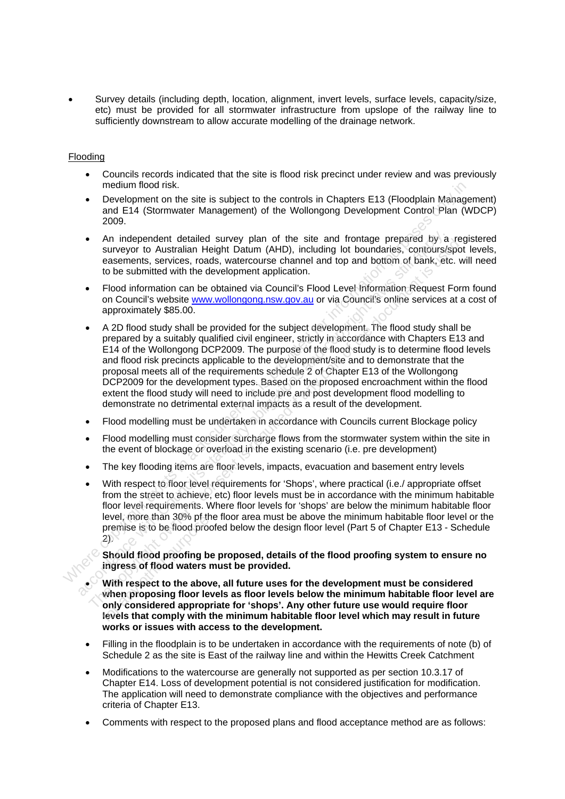• Survey details (including depth, location, alignment, invert levels, surface levels, capacity/size, etc) must be provided for all stormwater infrastructure from upslope of the railway line to sufficiently downstream to allow accurate modelling of the drainage network.

#### Flooding

- Councils records indicated that the site is flood risk precinct under review and was previously medium flood risk.
- Development on the site is subject to the controls in Chapters E13 (Floodplain Management) and E14 (Stormwater Management) of the Wollongong Development Control Plan (WDCP) 2009.
- An independent detailed survey plan of the site and frontage prepared by a registered surveyor to Australian Height Datum (AHD), including lot boundaries, contours/spot levels, easements, services, roads, watercourse channel and top and bottom of bank, etc. will need to be submitted with the development application.
- Flood information can be obtained via Council's Flood Level Information Request Form found on Council's website www.wollongong.nsw.gov.au or via Council's online services at a cost of approximately \$85.00.
- A 2D flood study shall be provided for the subject development. The flood study shall be prepared by a suitably qualified civil engineer, strictly in accordance with Chapters E13 and E14 of the Wollongong DCP2009. The purpose of the flood study is to determine flood levels and flood risk precincts applicable to the development/site and to demonstrate that the proposal meets all of the requirements schedule 2 of Chapter E13 of the Wollongong DCP2009 for the development types. Based on the proposed encroachment within the flood extent the flood study will need to include pre and post development flood modelling to demonstrate no detrimental external impacts as a result of the development. medium flood risk is a dolphath to the controls in Chapters E13 (Floodplain Manage<br>and E14 (Stormwater Management) of the Wollongong Development Control Plan (W<br>2009<br>- An independent detailed survey plan of the site and fr <ul>\n<li>An independent detailed survey plan of the site and frontage prepared by a survey and sexoments, services, roads, watercourse channel and top and bottom, both, etc. the submitted with the development application.</li>\n<li>Food information can be obtained via Council's Floed Levell information. Request on Council, with the development application.</li>\n<li>4.20th food study shall be provided for the subject development. The flood study she prepared by a suitably qualified civil engineer, strictly in accordance with Chapters E14 of the Woulongong DCP2009. The purpose of the flood study is to determine the approach of the Gvel and food risk predicted with the performance of the food study is to determine the proposed. The purpose of the food study is to determine the OCP2009 for the development types. Based on the proposed encounter. In the Woulongong DCP2009 for the development, these. Based on the proposed encounter. The 13 of the Finder the teat and the site and three states of the state and the seasoned by the seasoned to the summitted with the development application.<br>
Flood information can be obtained via Council's Flood Level information Reques
	- Flood modelling must be undertaken in accordance with Councils current Blockage policy
	- Flood modelling must consider surcharge flows from the stormwater system within the site in the event of blockage or overload in the existing scenario (i.e. pre development)
	- The key flooding items are floor levels, impacts, evacuation and basement entry levels
	- With respect to floor level requirements for 'Shops', where practical (i.e./ appropriate offset from the street to achieve, etc) floor levels must be in accordance with the minimum habitable floor level requirements. Where floor levels for 'shops' are below the minimum habitable floor level, more than 30% pf the floor area must be above the minimum habitable floor level or the premise is to be flood proofed below the design floor level (Part 5 of Chapter E13 - Schedule 2).

**Should flood proofing be proposed, details of the flood proofing system to ensure no ingress of flood waters must be provided.**

- **With respect to the above, all future uses for the development must be considered when proposing floor levels as floor levels below the minimum habitable floor level are only considered appropriate for 'shops'. Any other future use would require floor levels that comply with the minimum habitable floor level which may result in future works or issues with access to the development.** For an above purpose.<br>
For an above purpose.<br>
Should flood proofing be<br>
ingress of flood waters<br>
With respect to the above<br>
when proposing floor level<br>
only considered approprievels<br>
that comply with t
- Filling in the floodplain is to be undertaken in accordance with the requirements of note (b) of Schedule 2 as the site is East of the railway line and within the Hewitts Creek Catchment
- Modifications to the watercourse are generally not supported as per section 10.3.17 of Chapter E14. Loss of development potential is not considered justification for modification. The application will need to demonstrate compliance with the objectives and performance criteria of Chapter E13.
- Comments with respect to the proposed plans and flood acceptance method are as follows: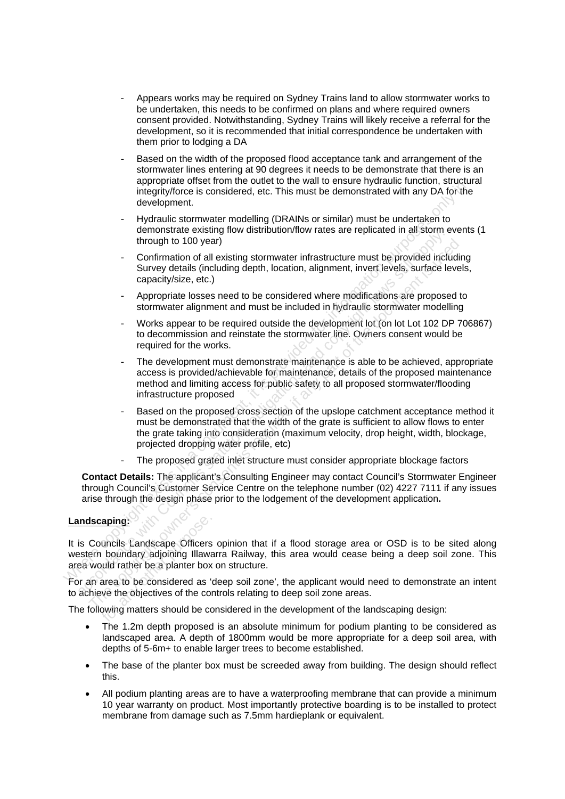- Appears works may be required on Sydney Trains land to allow stormwater works to be undertaken, this needs to be confirmed on plans and where required owners consent provided. Notwithstanding, Sydney Trains will likely receive a referral for the development, so it is recommended that initial correspondence be undertaken with them prior to lodging a DA
- Based on the width of the proposed flood acceptance tank and arrangement of the stormwater lines entering at 90 degrees it needs to be demonstrate that there is an appropriate offset from the outlet to the wall to ensure hydraulic function, structural integrity/force is considered, etc. This must be demonstrated with any DA for the development.
- Hydraulic stormwater modelling (DRAINs or similar) must be undertaken to demonstrate existing flow distribution/flow rates are replicated in all storm events (1 through to 100 year)
- Confirmation of all existing stormwater infrastructure must be provided including Survey details (including depth, location, alignment, invert levels, surface levels, capacity/size, etc.)
- Appropriate losses need to be considered where modifications are proposed to stormwater alignment and must be included in hydraulic stormwater modelling
- Works appear to be required outside the development lot (on lot Lot 102 DP 706867) to decommission and reinstate the stormwater line. Owners consent would be required for the works.
- The development must demonstrate maintenance is able to be achieved, appropriate access is provided/achievable for maintenance, details of the proposed maintenance method and limiting access for public safety to all proposed stormwater/flooding infrastructure proposed
- Based on the proposed cross section of the upslope catchment acceptance method it must be demonstrated that the width of the grate is sufficient to allow flows to enter the grate taking into consideration (maximum velocity, drop height, width, blockage, projected dropping water profile, etc) where the state that in a document with a document when the a document where the properties and the considered, etc. This must be undertaken to demonstrate existing flow distribution/flow rates are replicated in all storm between text to the existing statutor and the statutory and a statutory in the statutory of the statutory density (statutory density capacity size, etc.) Appropriate losses need to be considered where modifications are pro through to 100 year)<br>
Confirmation of all existing stormwater infrastructure must be provided includin<br>
Survey details (including depth, location, alignment, invert levels, surface levels<br>
capacity/size, etc.)<br>
Appropriate
	- The proposed grated inlet structure must consider appropriate blockage factors

**Contact Details:** The applicant's Consulting Engineer may contact Council's Stormwater Engineer through Council's Customer Service Centre on the telephone number (02) 4227 7111 if any issues arise through the design phase prior to the lodgement of the development application**.** 

#### **Landscaping:**

It is Councils Landscape Officers opinion that if a flood storage area or OSD is to be sited along western boundary adjoining Illawarra Railway, this area would cease being a deep soil zone. This area would rather be a planter box on structure. **Example:**<br>
uncils Landscape Officers<br>
boundary adjoining Illaway<br>
uld rather be a planter box<br>
area to be considered as<br>
we the objectives of the considered by<br>
powing matters should be considered

For an area to be considered as 'deep soil zone', the applicant would need to demonstrate an intent to achieve the objectives of the controls relating to deep soil zone areas.

The following matters should be considered in the development of the landscaping design:

- The 1.2m depth proposed is an absolute minimum for podium planting to be considered as landscaped area. A depth of 1800mm would be more appropriate for a deep soil area, with depths of 5-6m+ to enable larger trees to become established.
- The base of the planter box must be screeded away from building. The design should reflect this.
- All podium planting areas are to have a waterproofing membrane that can provide a minimum 10 year warranty on product. Most importantly protective boarding is to be installed to protect membrane from damage such as 7.5mm hardieplank or equivalent.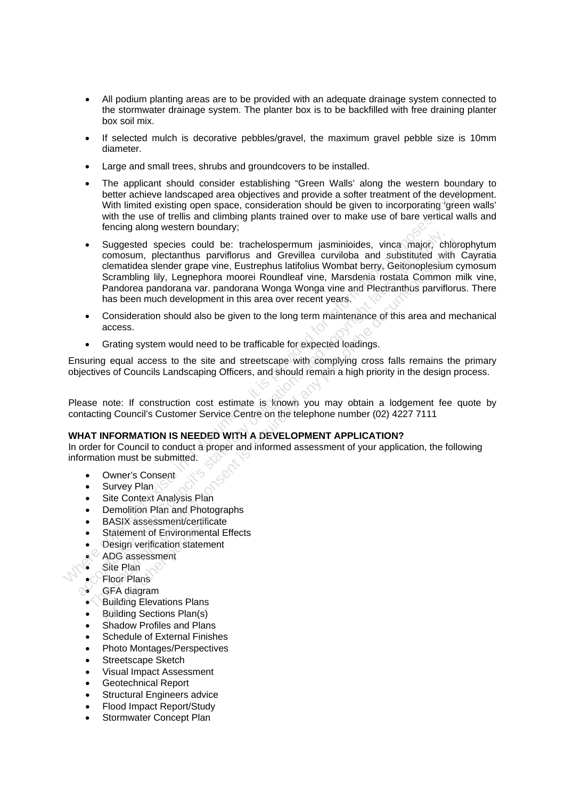- All podium planting areas are to be provided with an adequate drainage system connected to the stormwater drainage system. The planter box is to be backfilled with free draining planter box soil mix.
- If selected mulch is decorative pebbles/gravel, the maximum gravel pebble size is 10mm diameter.
- Large and small trees, shrubs and groundcovers to be installed.
- The applicant should consider establishing "Green Walls' along the western boundary to better achieve landscaped area objectives and provide a softer treatment of the development. With limited existing open space, consideration should be given to incorporating 'green walls' with the use of trellis and climbing plants trained over to make use of bare vertical walls and fencing along western boundary;
- Suggested species could be: trachelospermum jasminioides, vinca major, chlorophytum comosum, plectanthus parviflorus and Grevillea curviloba and substituted with Cayratia clematidea slender grape vine, Eustrephus latifolius Wombat berry, Geitonoplesium cymosum Scrambling lily, Legnephora moorei Roundleaf vine, Marsdenia rostata Common milk vine, Pandorea pandorana var. pandorana Wonga Wonga vine and Plectranthus parviflorus. There has been much development in this area over recent years. The applicant solution of estimation of the specific of the specific of the specific with the develop<br>with the use of trelis and climbing plants trained over to make use of bare non-<br>with the use of trelis and climbing pla • Suggested species could be: trachelospermum jasminioides, vinca major, chi<br>comosum, plectanthus parviflorus and Grevillea curviloba and substituted with<br>clematidea slender grape vine, Eustrephus latifolius Wombat berry, Suggested species could be: trachelospermum jasminiolodes, vinca major, chibrograminal partifloms and Grevillea curvilotios and substituted with Celematidea slender grape vine, Eustrephus latifolius Wombat berry, Geticohop
	- Consideration should also be given to the long term maintenance of this area and mechanical access.
	- Grating system would need to be trafficable for expected loadings.

Ensuring equal access to the site and streetscape with complying cross falls remains the primary objectives of Councils Landscaping Officers, and should remain a high priority in the design process.

Please note: If construction cost estimate is known you may obtain a lodgement fee quote by contacting Council's Customer Service Centre on the telephone number (02) 4227 7111

#### **WHAT INFORMATION IS NEEDED WITH A DEVELOPMENT APPLICATION?**

In order for Council to conduct a proper and informed assessment of your application, the following information must be submitted.

- Owner's Consent
- Survey Plan
- Site Context Analysis Plan
- Demolition Plan and Photographs
- BASIX assessment/certificate
- Statement of Environmental Effects
- **Design verification statement** BASIX assessment/certifice<br>Statement of Environment<br>Design verification statement<br>ADG assessment<br>Site Plan<br>Floor Plans<br>GFA diagram<br>Building Elevations Plans<br>Building Sections Plan(s)
- $\bullet$  ADG assessment
- Site Plan
- Floor Plans
- 
- GFA diagram<br>• Building Flevs • Building Elevations Plans
- Building Sections Plan(s)
- Shadow Profiles and Plans
- Schedule of External Finishes
- Photo Montages/Perspectives
- Streetscape Sketch
- Visual Impact Assessment
- Geotechnical Report
- Structural Engineers advice
- Flood Impact Report/Study
- Stormwater Concept Plan